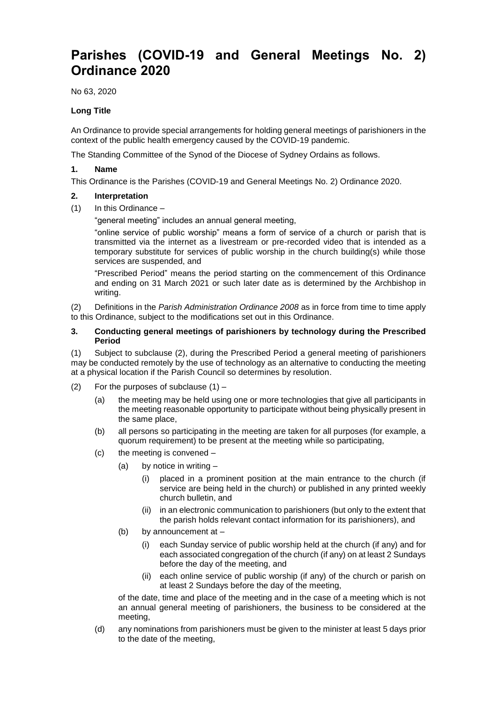# **Parishes (COVID-19 and General Meetings No. 2) Ordinance 2020**

No 63, 2020

## **Long Title**

An Ordinance to provide special arrangements for holding general meetings of parishioners in the context of the public health emergency caused by the COVID-19 pandemic.

The Standing Committee of the Synod of the Diocese of Sydney Ordains as follows.

### **1. Name**

This Ordinance is the Parishes (COVID-19 and General Meetings No. 2) Ordinance 2020.

## **2. Interpretation**

(1) In this Ordinance –

"general meeting" includes an annual general meeting,

"online service of public worship" means a form of service of a church or parish that is transmitted via the internet as a livestream or pre-recorded video that is intended as a temporary substitute for services of public worship in the church building(s) while those services are suspended, and

"Prescribed Period" means the period starting on the commencement of this Ordinance and ending on 31 March 2021 or such later date as is determined by the Archbishop in writing.

(2) Definitions in the *Parish Administration Ordinance 2008* as in force from time to time apply to this Ordinance, subject to the modifications set out in this Ordinance.

#### **3. Conducting general meetings of parishioners by technology during the Prescribed Period**

(1) Subject to subclause (2), during the Prescribed Period a general meeting of parishioners may be conducted remotely by the use of technology as an alternative to conducting the meeting at a physical location if the Parish Council so determines by resolution.

- (2) For the purposes of subclause  $(1)$ 
	- (a) the meeting may be held using one or more technologies that give all participants in the meeting reasonable opportunity to participate without being physically present in the same place,
	- (b) all persons so participating in the meeting are taken for all purposes (for example, a quorum requirement) to be present at the meeting while so participating,
	- (c) the meeting is convened
		- (a) by notice in writing  $-$ 
			- (i) placed in a prominent position at the main entrance to the church (if service are being held in the church) or published in any printed weekly church bulletin, and
			- (ii) in an electronic communication to parishioners (but only to the extent that the parish holds relevant contact information for its parishioners), and
		- (b) by announcement at
			- (i) each Sunday service of public worship held at the church (if any) and for each associated congregation of the church (if any) on at least 2 Sundays before the day of the meeting, and
			- (ii) each online service of public worship (if any) of the church or parish on at least 2 Sundays before the day of the meeting,

of the date, time and place of the meeting and in the case of a meeting which is not an annual general meeting of parishioners, the business to be considered at the meeting,

(d) any nominations from parishioners must be given to the minister at least 5 days prior to the date of the meeting,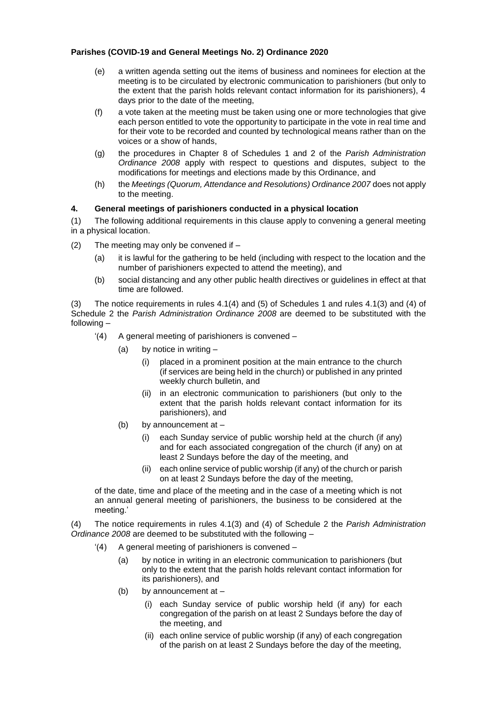## **Parishes (COVID-19 and General Meetings No. 2) Ordinance 2020**

- (e) a written agenda setting out the items of business and nominees for election at the meeting is to be circulated by electronic communication to parishioners (but only to the extent that the parish holds relevant contact information for its parishioners), 4 days prior to the date of the meeting,
- (f) a vote taken at the meeting must be taken using one or more technologies that give each person entitled to vote the opportunity to participate in the vote in real time and for their vote to be recorded and counted by technological means rather than on the voices or a show of hands,
- (g) the procedures in Chapter 8 of Schedules 1 and 2 of the *Parish Administration Ordinance 2008* apply with respect to questions and disputes, subject to the modifications for meetings and elections made by this Ordinance, and
- (h) the *Meetings (Quorum, Attendance and Resolutions) Ordinance 2007* does not apply to the meeting.

#### **4. General meetings of parishioners conducted in a physical location**

(1) The following additional requirements in this clause apply to convening a general meeting in a physical location.

- (2) The meeting may only be convened if  $-$ 
	- (a) it is lawful for the gathering to be held (including with respect to the location and the number of parishioners expected to attend the meeting), and
	- (b) social distancing and any other public health directives or guidelines in effect at that time are followed.

(3) The notice requirements in rules 4.1(4) and (5) of Schedules 1 and rules 4.1(3) and (4) of Schedule 2 the *Parish Administration Ordinance 2008* are deemed to be substituted with the following –

- '(4) A general meeting of parishioners is convened
	- (a) by notice in writing
		- (i) placed in a prominent position at the main entrance to the church (if services are being held in the church) or published in any printed weekly church bulletin, and
		- (ii) in an electronic communication to parishioners (but only to the extent that the parish holds relevant contact information for its parishioners), and
	- (b) by announcement at
		- (i) each Sunday service of public worship held at the church (if any) and for each associated congregation of the church (if any) on at least 2 Sundays before the day of the meeting, and
		- (ii) each online service of public worship (if any) of the church or parish on at least 2 Sundays before the day of the meeting,

of the date, time and place of the meeting and in the case of a meeting which is not an annual general meeting of parishioners, the business to be considered at the meeting.'

(4) The notice requirements in rules 4.1(3) and (4) of Schedule 2 the *Parish Administration Ordinance 2008* are deemed to be substituted with the following –

- '(4) A general meeting of parishioners is convened
	- (a) by notice in writing in an electronic communication to parishioners (but only to the extent that the parish holds relevant contact information for its parishioners), and
	- (b) by announcement at
		- (i) each Sunday service of public worship held (if any) for each congregation of the parish on at least 2 Sundays before the day of the meeting, and
		- (ii) each online service of public worship (if any) of each congregation of the parish on at least 2 Sundays before the day of the meeting,